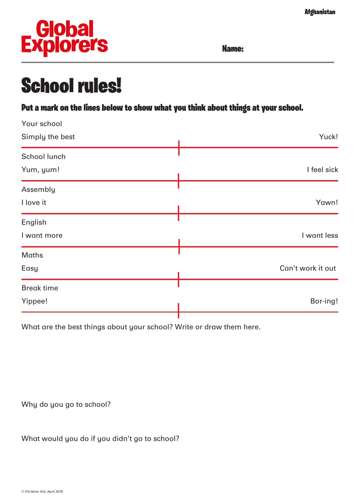**Afghanistan** 



Name:

## School rules!

Put a mark on the lines below to show what you think about things at your school.

| Your school       |                   |
|-------------------|-------------------|
| Simply the best   | Yuck!             |
| School lunch      |                   |
| Yum, yum!         | I feel sick       |
| Assembly          |                   |
| I love it         | Yawn!             |
| English           |                   |
| I want more       | I want less       |
| <b>Maths</b>      |                   |
| Easy              | Can't work it out |
| <b>Break time</b> |                   |
| Yippee!           | Bor-ing!          |
|                   |                   |

What are the best things about your school? Write or draw them here.

Why do you go to school?

What would you do if you didn't go to school?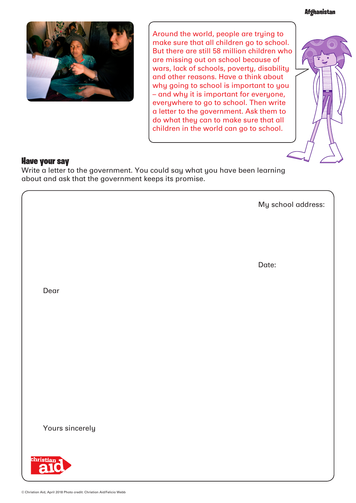**Afghanistan** 



Around the world, people are trying to make sure that all children go to school. But there are still 58 million children who are missing out on school because of wars, lack of schools, poverty, disability and other reasons. Have a think about why going to school is important to you – and why it is important for everyone, everywhere to go to school. Then write a letter to the government. Ask them to do what they can to make sure that all children in the world can go to school.



## Have your say

ſ

I

I

Write a letter to the government. You could say what you have been learning about and ask that the government keeps its promise.

My school address:

Date:

Dear

Yours sincerely